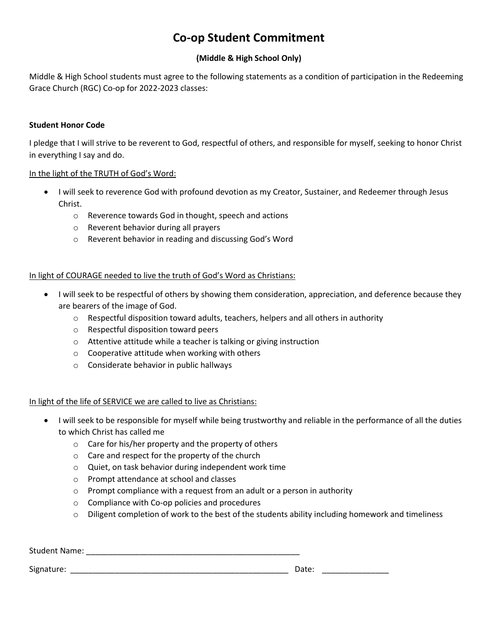# **Co-op Student Commitment**

## **(Middle & High School Only)**

Middle & High School students must agree to the following statements as a condition of participation in the Redeeming Grace Church (RGC) Co-op for 2022-2023 classes:

#### **Student Honor Code**

I pledge that I will strive to be reverent to God, respectful of others, and responsible for myself, seeking to honor Christ in everything I say and do.

#### In the light of the TRUTH of God's Word:

- I will seek to reverence God with profound devotion as my Creator, Sustainer, and Redeemer through Jesus Christ.
	- o Reverence towards God in thought, speech and actions
	- o Reverent behavior during all prayers
	- o Reverent behavior in reading and discussing God's Word

## In light of COURAGE needed to live the truth of God's Word as Christians:

- I will seek to be respectful of others by showing them consideration, appreciation, and deference because they are bearers of the image of God.
	- $\circ$  Respectful disposition toward adults, teachers, helpers and all others in authority
	- o Respectful disposition toward peers
	- o Attentive attitude while a teacher is talking or giving instruction
	- o Cooperative attitude when working with others
	- o Considerate behavior in public hallways

## In light of the life of SERVICE we are called to live as Christians:

- I will seek to be responsible for myself while being trustworthy and reliable in the performance of all the duties to which Christ has called me
	- o Care for his/her property and the property of others
	- o Care and respect for the property of the church
	- o Quiet, on task behavior during independent work time
	- o Prompt attendance at school and classes
	- o Prompt compliance with a request from an adult or a person in authority
	- o Compliance with Co-op policies and procedures
	- $\circ$  Diligent completion of work to the best of the students ability including homework and timeliness

| <b>Student Name:</b> |       |  |
|----------------------|-------|--|
| Signature:           | Date: |  |